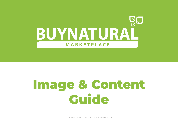

# Image & Content Guide

© BuyNatural Pty Limited 2021. All Rights Reserved V1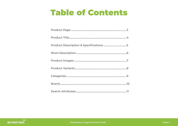## **Table of Contents**

| Product Description & Specifications 5 |
|----------------------------------------|
|                                        |
|                                        |
|                                        |
|                                        |
|                                        |
|                                        |

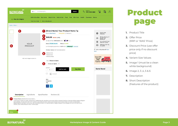

## Product page

- **1.** Product Title
- **2.** Offer Price (RRP or 'WAS' Price)
- **3.** Discount Price (use offer price only if no discount price)
- **4.** Variant Size Values
- **5.** Image 1 (must be a clean white background)
- **6.** Image 2, 3 ,4, 5 & 6
- **7.** Description
- **8.** Short Description (Features of the product)

#### QØ **BUYNATURAL**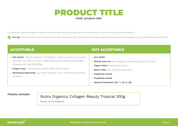## PRODUCT TITLE

## **Field: 'product-title'**

A customer should be able to read the title without seeing the picture and know exactly what the product and purpose is.

**Pro tip:** Product titles return search results just like Keywords. Think about what best describes your product and what your customers will search for.

| <b>ACCEPTABLE</b>                                                                                                                                                                                                                                                                                                                       | <b>NOT ACCEPTABLE</b>                                                                                                                                                                                                                                                 |
|-----------------------------------------------------------------------------------------------------------------------------------------------------------------------------------------------------------------------------------------------------------------------------------------------------------------------------------------|-----------------------------------------------------------------------------------------------------------------------------------------------------------------------------------------------------------------------------------------------------------------------|
| • Min detail - Brand, Keyword, Size/Weight - if your product has another<br>identifier, e.g. Flavour, insert it after Keyword and before Size/Weight<br>(BuyNatural Chips BBQ 50g)<br>• Proper Case - capitalising the first letter of each word<br>• Necessary keywords. E.g. "Multi Purpose" if you were selling cleaning<br>products | · ALL CAPS<br><b>Words such as:</b> New, Bargain, Great Deal, Lowest Price, etc.<br><b>Vague titles</b> BuyNatural Cleaner<br><b>Spam Title</b> with irrelevant keywords<br><b>Duplicate words</b><br><b>Duplicate words</b><br>Special Characters (&, "", !,#, %, @) |

## **Display example:**

## Nutra Organics Collagen Beauty Tropical 300g

**Brand: Nutra Organics**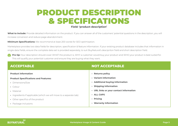## PRODUCT DESCRIPTION & SPECIFICATIONS **Field: 'product-description'**

What to include: Provide detailed information on the product. If you can answer all of the customers' potential questions in the description, you will increase conversion and reduce page abandonment.

**Minimum Specifications:** We recommend at least 200 words for SEO optimisation.

Marketplace provides two data fields for description, specification & feature information. If your existing product database includes that information in single data fields, ensure the complete data set is provided separately, to suit BuyNatural's descipriton field and short description field.

**Pro tip:** Your description should cover WHAT the product is. WHY a customer would buy your product and WHO your product is best suited for. This will qualify your potential customer and ensure they are buying what they want.

| <b>ACCEPTABLE</b>                                                  | <b>NOT ACCEPTABLE</b>                   |
|--------------------------------------------------------------------|-----------------------------------------|
| <b>Product information</b>                                         | • Returns policy                        |
| <b>Product Specifications and Features:</b>                        | • Variant information                   |
| • Dimensions/Size                                                  | • Additional buying information         |
| • Colour                                                           | • Shipping information                  |
| • Material                                                         | • URL links or your contact information |
| • Ingredients if applicable (which we will move to a separate tab) | · ALL CAPS                              |
| • Other specifics of the product                                   | • Pricing                               |
| • Package inclusions                                               | • Warranty Information                  |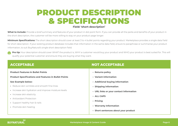## PRODUCT DESCRIPTION & SPECIFICATIONS **Field: 'short-description'**

What to include: Provide a brief summary and features of your product in dot point form. If you can provide all the perks and benefits of your product in the short description, the customer will be more willing to stay on your product page longer.

**Minimum Specifications:** The short description should cover at least 3 to 4 bullet points regarding your product. Marketplace provides a single data field for short description. If your existing product database includes that information in the same data field, ensure to paraphrase or summarise your product information, to suit BuyNatural's single short description field.

**Pro tip:** Your description should cover WHAT the product is, WHY a customer would buy your product and WHO your product is best suited for. This will qualify your potential customer and ensure they are buying what they want.

| <b>ACCEPTABLE</b>                                           | <b>NOT ACCEPTABLE</b>                   |
|-------------------------------------------------------------|-----------------------------------------|
| <b>Product Features in Bullet Points</b>                    | • Returns policy                        |
| <b>Product Specifications and Features in Bullet Points</b> | • Variant information                   |
| <b>See Example below:</b>                                   | • Additional buying information         |
| • Reduce skin wrinkles and smooth fine lines                | • Shipping information                  |
| • Increase skin hydration and improve moisture levels       | • URL links or your contact information |
| • Increase skin elasticity                                  | · ALL CAPS                              |
| • Antioxidant Protection                                    |                                         |
| • Support healthy hair & nails                              | • Pricing                               |
| • Promote skin healing                                      | • Warranty Information                  |
|                                                             | · Short sentences about your product    |
|                                                             |                                         |

## **RUYNATURA**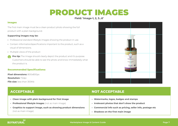## PRODUCT IMAGES

**Field: 'image-1, 2, 3...6'**

## **Images**

The first main image must be a clean product photo showing the full product with a plain background.

## **Supporting images may be:**

- **•** Professional standard lifestyle images showing the product in use.
- **•** Contain information/specifications important to the product, such as a visual of dimensions.
- **•** Multiple views of the product
- **Pro tip:** The Image should clearly depict the product and it's purpose. Customers should be able to see the photo and know immediately what the product is.

## **Recommended Specifications:**

**Pixel dimensions:** 800x800px **Resolution:** 72dpi **File size:** less than 300Kb

- **• Clean image with plain background for first image**
- **• Professional lifestyle images** (not as main image)
- **• Graphics to support image, such as showing product dimensions**  (not as main image)



## **ACCEPTABLE NOT ACCEPTABLE**

- **• Watermarks, logos, badges and stamps**
- **• Irrelevant photos that don't show the product**
- **• Commercial info such as pricing, seller info, postage etc**
- **• Shadows on the first main image**

## **BUYNATURAL**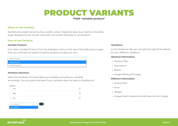## PRODUCT VARIANTS

## **Field: 'variable-product'**

### **When to use Variants**

BuyNatural accepts variant by Size, weight, colour, fragrance, type. (e.g. Cleaner, Chocolate, Soap). BuyNatural can accept more than one variant attribute on one product.

### **How to use Variants:**

#### **Variable Product:**

First select Variable Product from the dropdown menu at the top of the add product page. Then you will have the option to define variations or add your own.

| Simple Product                                                                                                                     | $\check{~}$ |
|------------------------------------------------------------------------------------------------------------------------------------|-------------|
| Simple Product                                                                                                                     |             |
| Variable Product<br>when the term of the control of the control of the control of the control of the control of the control of the |             |

### **Attribute Selection:**

Select the attribute that describes your variables and add your variables accordingly. You can press Add New if your variation does not exist on BuyNatural.



### **Variations:**

In the Variations Tab, you can edit and add all the details for your different variations.

#### **Identical Information:**

- **•** Product Title
- **•** Description
- **•** Brand
- **•** Images (Featured Image)

### **Different Information**

- **•** Internal SKU
- **•** Price
- **•** Weight
- **•** Images (Each Variation should have its own image)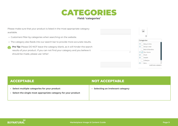

Please make sure that your product is listed in the most appropriate category available.

- **•** Customers filter by categories when searching on the website.
- **•** The category also feeds into our search bar to provide more accurate results.
- **Pro Tip:** Please DO NOT leave the category blank, as it will hinder the search results of your product. If you can not find your category and you believe it should be made, please use 'other'.

|   | $^{\tiny{\textregistered}}$ |
|---|-----------------------------|
|   | Categories                  |
|   | Baby & Kids<br>$\odot$      |
|   | Body & Hair<br>⊛            |
|   | <b>Bulk &amp; Bundles</b>   |
| 温 | → Eco Home                  |
|   | Food<br>Θ                   |
|   | Health<br>⊛                 |
|   | Lifestyle                   |
|   | $\odot$<br>Pets             |

| <b>ACCEPTABLE</b>                                                                                               | <b>NOT ACCEPTABLE</b>                   |
|-----------------------------------------------------------------------------------------------------------------|-----------------------------------------|
| • Select multiple categories for your product<br>• Select the single most appropriate category for your product | <b>Selecting an irrelevant category</b> |
|                                                                                                                 |                                         |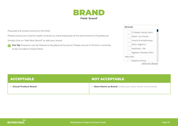

Populate the product brand to this field.

Please ensure your brand is spelt correctly to avoid duplicates of the same brand on BuyNatural

Simply click on "Add New Brand" to add your brand.

**Pro Tip:** Products can be filtered on BuyNatural by brand. Please ensure to fill this in correctly to be included in these filters



| <b>ACCEPTABLE</b>      | <b>NOT ACCEPTABLE</b>                                       |
|------------------------|-------------------------------------------------------------|
| • Actual Product Brand | • Store Name as Brand (unless your store name is the brand) |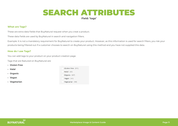## SEARCH ATTRIBUTES

**Field: 'tags'**

## **What are Tags?**

These are extra data fields that BuyNatural request when you creat a product.

These data fields are used by BuyNatural in search and navigation filters.

Example: It is not a mandatory requirement for BuyNatural to create your product. However, as this information is used for search filters, you risk your products being filtered out if a customer chooses to search on BuyNatural using this method and you have not supplied this data.

### **How do I use Tags?**

You can add tags to your product on your product creation page.

Tags that are featured on BuyNatural are:

#### **• Gluten Free**

- **• Halal**
- **• Organic**
- **• Vegan**
- **• Vegetarian**

| Gluten Free (122) |
|-------------------|
| Halal $(42)$      |
| Organic (137)     |
| $Vegan$ (141)     |
| Vegetarian (49)   |

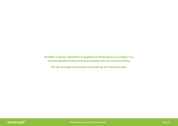**All NEW products submitted to BuyNatural Marketplace are subject to a Content Quality Review and must comply with our Curation Policy.**

**The QA and approval process may take up to 5 business days.**